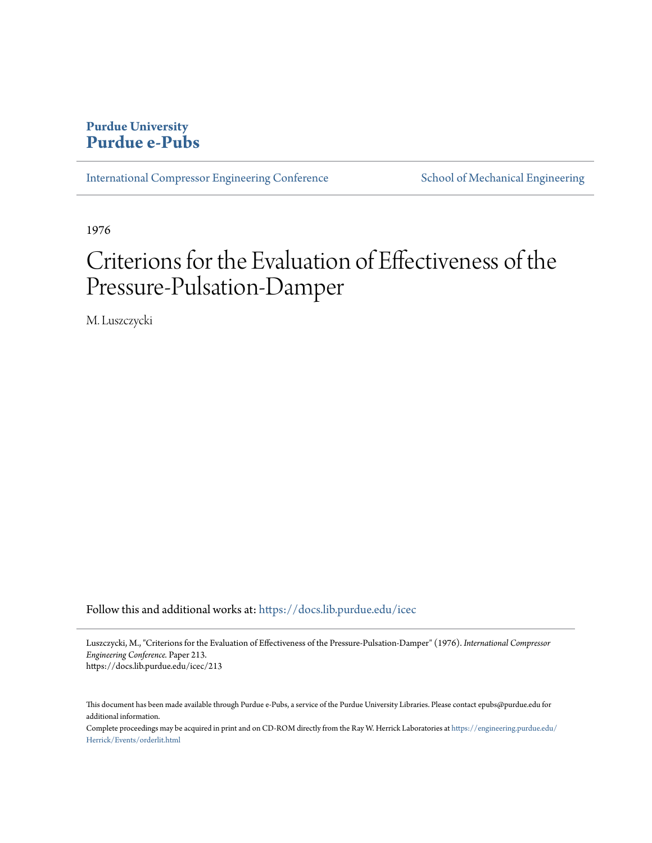# **Purdue University [Purdue e-Pubs](https://docs.lib.purdue.edu?utm_source=docs.lib.purdue.edu%2Ficec%2F213&utm_medium=PDF&utm_campaign=PDFCoverPages)**

[International Compressor Engineering Conference](https://docs.lib.purdue.edu/icec?utm_source=docs.lib.purdue.edu%2Ficec%2F213&utm_medium=PDF&utm_campaign=PDFCoverPages) [School of Mechanical Engineering](https://docs.lib.purdue.edu/me?utm_source=docs.lib.purdue.edu%2Ficec%2F213&utm_medium=PDF&utm_campaign=PDFCoverPages)

1976

# Criterions for the Evaluation of Effectiveness of the Pressure-Pulsation-Damper

M. Luszczycki

Follow this and additional works at: [https://docs.lib.purdue.edu/icec](https://docs.lib.purdue.edu/icec?utm_source=docs.lib.purdue.edu%2Ficec%2F213&utm_medium=PDF&utm_campaign=PDFCoverPages)

Luszczycki, M., "Criterions for the Evaluation of Effectiveness of the Pressure-Pulsation-Damper" (1976). *International Compressor Engineering Conference.* Paper 213. https://docs.lib.purdue.edu/icec/213

This document has been made available through Purdue e-Pubs, a service of the Purdue University Libraries. Please contact epubs@purdue.edu for additional information.

Complete proceedings may be acquired in print and on CD-ROM directly from the Ray W. Herrick Laboratories at [https://engineering.purdue.edu/](https://engineering.purdue.edu/Herrick/Events/orderlit.html) [Herrick/Events/orderlit.html](https://engineering.purdue.edu/Herrick/Events/orderlit.html)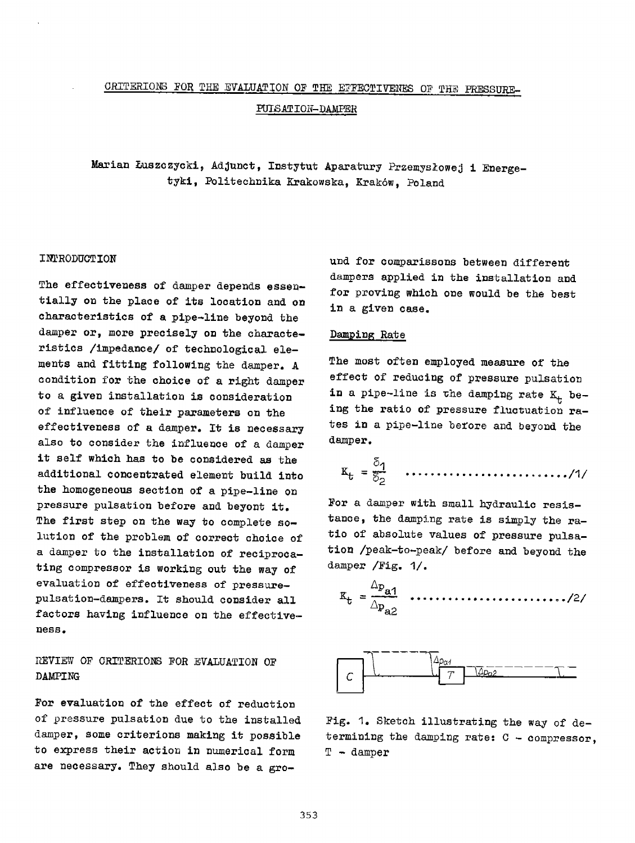# CRITERIONS FOR THE EVALUATION OF THE EFFECTIVENES OF THE PRESSURE-PULSATION-DAMPER

Marian Luszczycki, Adjunct, Instytut Aparatury Przemyslowej i Energetyki, Politechnika Krakowska, Krakow, Poland

#### INrRODUCTION

The effectiveness of damper depends essentially on the place of its location and on characteristics of a pipe-line beyond the damper or, more precisely on the characteristics /impedance/ of technological elements and fitting following the damper. A condition for the choice of a right damper to <sup>a</sup>given installation is consideration of influence of their parameters on the effectiveness of a damper. It is necessary also to consider the influence of a damper it self which has to be considered as the additional concentrated element build into the homogeneous section of <sup>a</sup>pipe-line on pressure pulsation before and beyont it. The first step on the way to complete solution of the problem of correct choice of a damper to the installation of reciprocating compressor is working out the way of evaluation of effectiveness of pressurepulsation-dampers. It should consider all factors having influence on the effectiveness.

## REVIEW OF CRITERIONS FOR EVALUATION OF DAMPING

For evaluation of the effect of reduction of pressure pulsation due to the installed damper, some criterions making it possible to express their action in numerical form are necessary. They should also be a ground for comparissons between different dampers applied in the installation and for proving which one would be the best in <sup>a</sup>given case.

#### Damping Rate

The most often employed measure of the effect of reducing of pressure pulsation in a pipe-line is the damping rate  $K_t$  being the ratio of pressure fluctuation rates in a pipe-line before and beyond the damper.

$$
K_t = \frac{\delta_1}{\delta_2}
$$
 ...................../1/

For a damper with small hydraulic resistance, the damping rate is simply the ratio of absolute values of pressure pulsation /peak-to-peak/ before and beyond the damper /Fig. 1/.





Fig. 1. Sketch illustrating the way of determining the damping rate:  $C - compressor$ , T - damper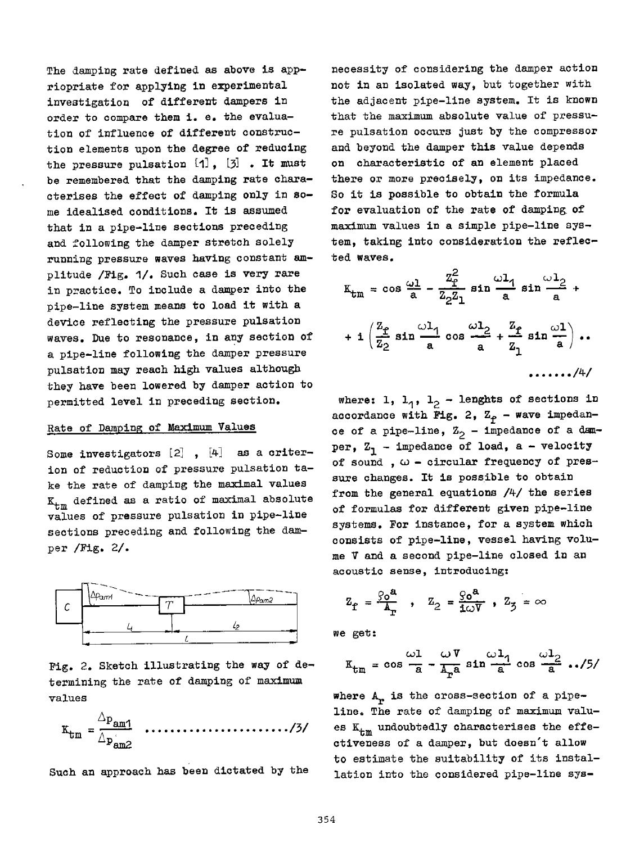The damping rate defined as above is appriopriate for applying in experimental investigation of different dampers in order to compare them i. e. the evaluation of influence of different construction elements upon the degree of reducing the pressure pulsation  $[1]$ ,  $[3]$ . It must be remembered that the damping rate characterises the effect of damping only in some idealised conditions. It is assumed that in a pipe-line sections preceding and following the damper stretch solely running pressure waves having constant am<sup>p</sup>litude /Fig. 1/. Such case is very rare in practice. To include a damper into the <sup>p</sup>ipe-line system means to load it with <sup>a</sup> device reflecting the pressure pulsation waves. Due to resonance, in any section of <sup>a</sup>pipe-line following the damper pressure pulsation may reach high values although they have been lowered by damper action to permitted level in preceding section.

#### Rate of Damping of Maximum Values

Some investigators  $[2]$  ,  $[4]$  as a criterion of reduction of pressure pulsation take the rate of damping the maximal values  $K_{t,m}$  defined as a ratio of maximal absolute values of pressure pulsation in pipe-line sections preceding and following the damper /Fig. 2/.



Fig. 2. Sketch illustrating the way of determining the rate of damping of maximum values

• ljil •••••••••• ~ • ~~~ ~~~ ........ /~I

Such an approach has been dictated by the

necessity of considering the damper action not in an isolated way, but together with the adjacent pipe-line system. It is known that the maximum absolute value of pressure pulsation occurs just by the compressor and beyond the damper this value depends on characteristic of an element placed there or more precisely, on its impedance. So it is possible to obtain the formula for evaluation of the rate of damping of maximum values in a simple pipe-line system, taking into consideration the reflected waves.

$$
K_{tm} = \cos \frac{\omega l}{a} - \frac{z_{f}^{2}}{z_{2} z_{1}} \sin \frac{\omega l_{1}}{a} \sin \frac{\omega l_{2}}{a} + \frac{z_{f}}{z_{2}} \sin \frac{\omega l_{1}}{a} \cos \frac{\omega l_{2}}{a} + \frac{z_{f}}{z_{1}} \sin \frac{\omega l}{a} \dots
$$

where: 1,  $1_1$ ,  $1_2$  - lenghts of sections in accordance with Fig. 2,  $Z_{\phi}$  - wave impedance of a pipe-line,  $\mathbb{Z}_2$  - impedance of a damper,  $Z_1$  - impedance of load, a - velocity of sound ,  $\omega$  - circular frequency of pressure changes. It is possible to obtain from the general equations /4/ the series of formulas for different given pipe-line systems. For instance, for a system Which consists of pipe-line, vessel having volume V and a second pipe-line closed in an acoustic sense, introducing:

$$
Z_{\text{f}} = \frac{\rho_0^{\text{a}}}{A_{\text{r}}}, \quad Z_2 = \frac{\rho_0^{\text{a}}}{10^{\text{V}}}, \quad Z_3 = \infty
$$

we get:

$$
K_{tm} = \cos \frac{\omega l}{a} - \frac{\omega V}{A_a} \sin \frac{\omega l_1}{a} \cos \frac{\omega l_2}{a} \dots /5
$$

where  $A_r$  is the cross-section of a pipeline. The rate of damping of maximum values  $K_{tm}$  undoubtedly characterises the effectiveness of a damper, but doesn't allow to estimate the suitability of its installation into the considered pipe-line sys-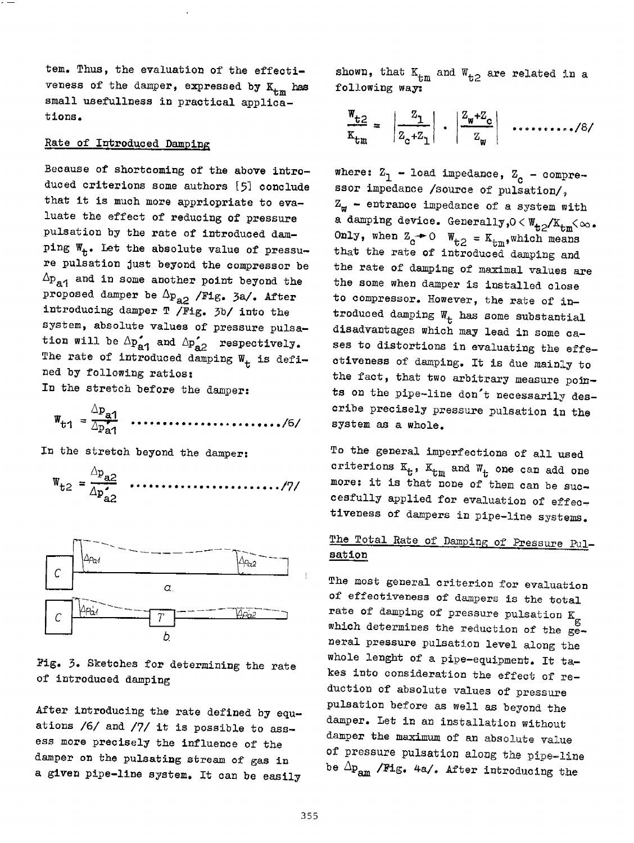tem. Thus, the evaluation of the effectiveness of the damper, expressed by  $K_{t,m}$  has small usefullness in practical applications.

#### Rate of Introduced Damping

Because of shortcoming of the above introduced criterions some authors [51 conclude that it is much more appriopriate to evaluate the effect of reducing of pressure pulsation by the rate of introduced damping  $W_t$ . Let the absolute value of pressure pulsation just beyond the compressor be  $\Delta p_{\bf q}$  and in some another point beyond the proposed damper be  $\Delta p_{a2}$  /Fig. 3a/. After introducing damper T /Fig. 3b/ into the system, absolute values of pressure pulsation will be  $\Delta p_{\bf a1}^{\prime}$  and  $\Delta p_{\bf a2}^{\prime}$  respectively. The rate of introduced damping  $W_t$  is defined by following ratios: In the stretch before the damper:

Llpa1 wt1 = zP;1 ····ft···················/6/

In the stretch beyond the damper:

 $\boldsymbol{\Lambda}$ 

~Pa2 wt2 =----........................ /71 Llp;2



Fig. 3. Sketches for determining the rate of introduced damping

After introducing the rate defined by equations /6/ and /7/ it is possible to assess more precisely the influence of the damper on the pulsating stream of gas in <sup>a</sup>given pipe-line system. It can be easily shown, that  $K_{tm}$  and  $W_{t,2}$  are related in a following way:

$$
\frac{\mathbf{w}_{\mathbf{t}2}}{\mathbf{x}_{\mathbf{t}\mathbf{m}}} = \left| \frac{\mathbf{z}_1}{\mathbf{z}_{\mathbf{c}} + \mathbf{z}_1} \right| \cdot \left| \frac{\mathbf{z}_{\mathbf{w}} + \mathbf{z}_{\mathbf{c}}}{\mathbf{z}_{\mathbf{w}}} \right| \quad \ldots \ldots \ldots \ldots \ldots \ldots \ldots
$$

where:  $\overline{z}_1$  - load impedance,  $\overline{z}_c$  - compressor impedance /source of pulsation/,  $Z_{\omega}$  - entrance impedance of a system with a damping device. Generally,  $0 < W_{t2}/K_{tm} < \infty$ . Only, when  $Z_c - 0$   $W_{t2} = K_{tm}$ , which means that the rate of introduced damping and the rate of damping of maximal values are the some when damper is installed close to compressor. However, the rate of introduced damping  $W_t$  has some substantial disadvantages which may lead in some cases to distortions in evaluating the effectiveness of damping. It is due mainly to the fact, that two arbitrary measure points on the pipe-line don't necessarily describe precisely pressure pulsation in the system as a whole.

To the general imperfections of all used criterions  $K_t$ ,  $K_{tm}$  and  $W_t$  one can add one more: it is that none of them can be succesfully applied for evaluation of effectiveness of dampers in pipe-line systems.

## The Total Rate of Damping of Pressure Pulsation

The most general criterion for evaluation of effectiveness of dampers is the total rate of damping of pressure pulsation  $K_{\sigma}$ which determines the reduction of the  $e^{\infty}$ neral pressure pulsation level along the whole lenght of a pipe-equipment. It takes into consideration the effect of reduction of absolute values of pressure pulsation before as well as beyond the damper. Let in an installation without damper the maximum of an absolute value of pressure pulsation along the pipe-line be  $\Delta p_{am}$  /Fig. 4a/. After introducing the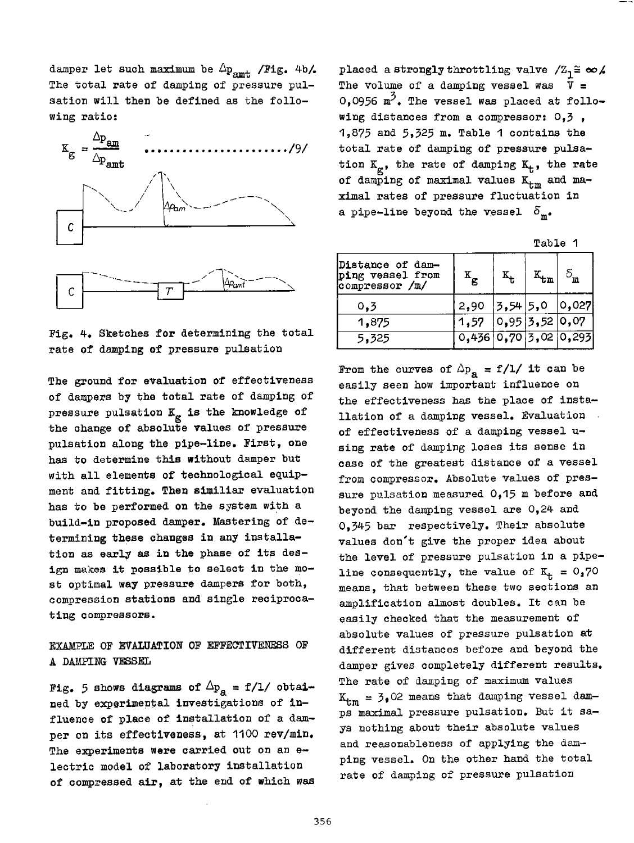damper let such maximum be  $\Delta p_{\text{amt}}$  /Fig. 4b/. The total rate of damping of pressure pulsation will then be defined as the following ratio:



Fig. 4. Sketches for determining the total rate of damping of pressure pulsation

The ground for evaluation of effectiveness of dampers by the total rate of damping *ot*  pressure pulsation  $K_{gr}$  is the knowledge of the change of absolute values of pressure pulsation along the pipe-line. First, one has to determine this without damper but with all elements of technological equipment and fitting. Then similiar evaluatiqn has to be performed on the system with <sup>a</sup> build-in proposed damper. Mastering of determining these changes in any installation as early as in the phase of its design makes it possible to select in the most optimal way pressure dampers for both, compression stations and single reciprocating compressors.

### EXAMPLE OF EVALUATION OF EFFECTIVENESS OF A DAMPING VESSEL

Fig. 5 shows diagrams of  $\Delta p_a = f/1/$  obtained by experimental investigations of influence of place of installation of a damper on its effectiveness, at 1100 rev/min. The experiments were carried out on an electric model of laboratory installation of compressed air, at the end of which was placed a strongly throttling valve  $\sqrt{Z_1} \cong \infty$ The volume of a damping vessel was  $\bar{V}$  =  $0$ ,0956  $\texttt{m}^{\prime}$ . The vessel was placed at following distances from a compressor:  $0,3$ ,  $1,875$  and  $5,525$  m. Table 1 contains the total rate of damping of pressure pulsation  $K_{\alpha}$ , the rate of damping  $K_{t}$ , the rate of damping of maximal values  $K_{t,m}$  and maximal rates of pressure fluctuation in a pipe-line beyond the vessel  $\delta_{\mathbf{m}}$ .

| Tabl |  |
|------|--|
|------|--|

|                                                        |                        |            | .                 |             |  |
|--------------------------------------------------------|------------------------|------------|-------------------|-------------|--|
| Distance of dam-<br>ping vessel from<br>compressor /m/ | Έ                      | $K_t$      | `tm               | $5_{\rm m}$ |  |
| 0.3                                                    | 2,90                   | $3,54$ 5,0 |                   | 0,027       |  |
| 1,875                                                  | 1,57                   |            | 0, 95 3, 52 0, 07 |             |  |
| 5,325                                                  | [0,456]0,70]5,02]0,295 |            |                   |             |  |

From the curves of  $\Delta p_a = f/l /$  it can be easily seen how important influence on the effectiveness has the place of installation of a damping vessel. Evaluation of effectiveness of a damping vessel using rate of damping loses its sense in case of the greatest distance of a vessel from compressor. Absolute values of pressure pulsation measured 0,15 m before and beyond the damping vessel are 0,24 and 0,345 bar respectively. Their absolute values don't give the proper idea about the level of pressure pulsation in a pipeline consequently, the value of  $K_+ = 0.70$ means, that between these two sections an amplification almost doubles. It can be easily checked that the measurement of absolute values of pressure pulsation at different distances before and beyond the damper gives completely different results. The rate of damping of maximum values  $K_{tm} = 3,02$  means that damping vessel damps maximal pressure pulsation. But it says nothing about their absolute values and reasonableness of applying the dam<sup>p</sup>ing vessel. On the other hand the total rate of damping of pressure pulsation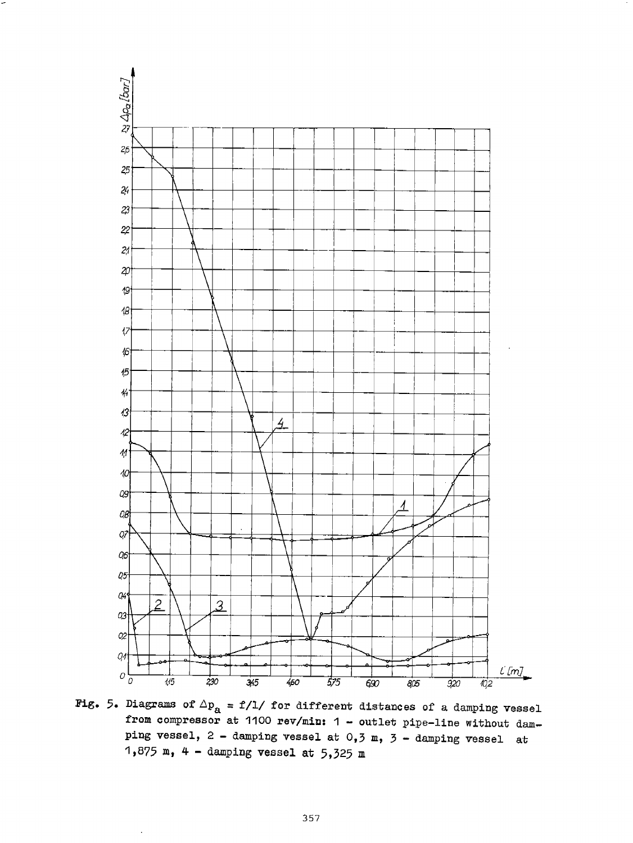

Fig. 5. Diagrams of  $\Delta p_a$  = f/1/ for different distances of a damping vessel from compressor at 1100 rev/miD: 1 - outlet pipe-line without damping vessel,  $2$  - damping vessel at  $0, 3$  m,  $3$  - damping vessel at 1,875 m, 4 - damping vessel at  $5,325$  m